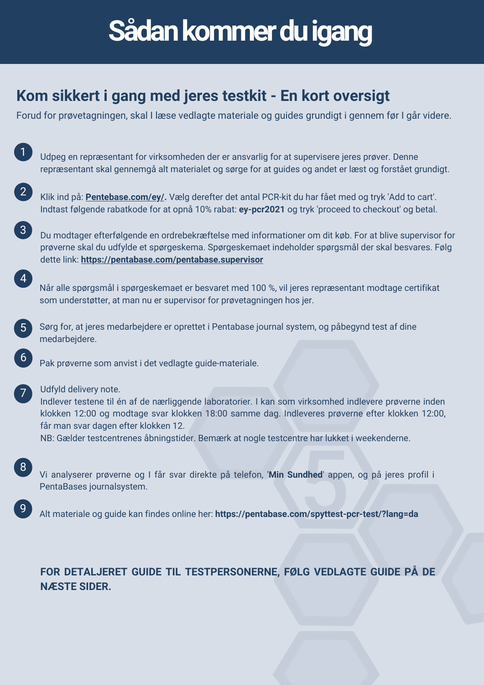# **Sådan kommer du igang**

## **Kom sikkert i gang med jeres testkit - En kort oversigt**

Forud for prøvetagningen, skal I læse vedlagte materiale og guides grundigt i gennem før I går videre.

|                   | Udpeg en repræsentant for virksomheden der er ansvarlig for at supervisere jeres prøver. Denne<br>repræsentant skal gennemgå alt materialet og sørge for at guides og andet er læst og forstået grundigt.                                                                                                                                                                |
|-------------------|--------------------------------------------------------------------------------------------------------------------------------------------------------------------------------------------------------------------------------------------------------------------------------------------------------------------------------------------------------------------------|
| $\left( 2\right)$ | Klik ind på: <b>Pentebase.com/ey/.</b> Vælg derefter det antal PCR-kit du har fået med og tryk 'Add to cart'.<br>Indtast følgende rabatkode for at opnå 10% rabat: ey-pcr2021 og tryk 'proceed to checkout' og betal.                                                                                                                                                    |
| $\left(3\right)$  | Du modtager efterfølgende en ordrebekræftelse med informationer om dit køb. For at blive supervisor for<br>prøverne skal du udfylde et spørgeskema. Spørgeskemaet indeholder spørgsmål der skal besvares. Følg<br>dette link: https://pentabase.com/pentabase.supervisor                                                                                                 |
| $\left( 4\right)$ | Når alle spørgsmål i spørgeskemaet er besvaret med 100 %, vil jeres repræsentant modtage certifikat<br>som understøtter, at man nu er supervisor for prøvetagningen hos jer.                                                                                                                                                                                             |
| 5 <sup>5</sup>    | Sørg for, at jeres medarbejdere er oprettet i Pentabase journal system, og påbegynd test af dine<br>medarbejdere.                                                                                                                                                                                                                                                        |
| 6                 | Pak prøverne som anvist i det vedlagte guide-materiale.                                                                                                                                                                                                                                                                                                                  |
| $\sqrt{7}$        | Udfyld delivery note.<br>Indlever testene til én af de nærliggende laboratorier. I kan som virksomhed indlevere prøverne inden<br>klokken 12:00 og modtage svar klokken 18:00 samme dag. Indleveres prøverne efter klokken 12:00,<br>får man svar dagen efter klokken 12.<br>NB: Gælder testcentrenes åbningstider. Bemærk at nogle testcentre har lukket i weekenderne. |
| 8                 | Vi analyserer prøverne og I får svar direkte på telefon, 'Min Sundhed' appen, og på jeres profil i<br>PentaBases journalsystem.                                                                                                                                                                                                                                          |
|                   | Alt materiale og guide kan findes online her: https://pentabase.com/spyttest-pcr-test/?lang=da                                                                                                                                                                                                                                                                           |

#### **FOR DETALJERET GUIDE TIL TESTPERSONERNE, FØLG VEDLAGTE GUIDE PÅ DE NÆSTE SIDER.**